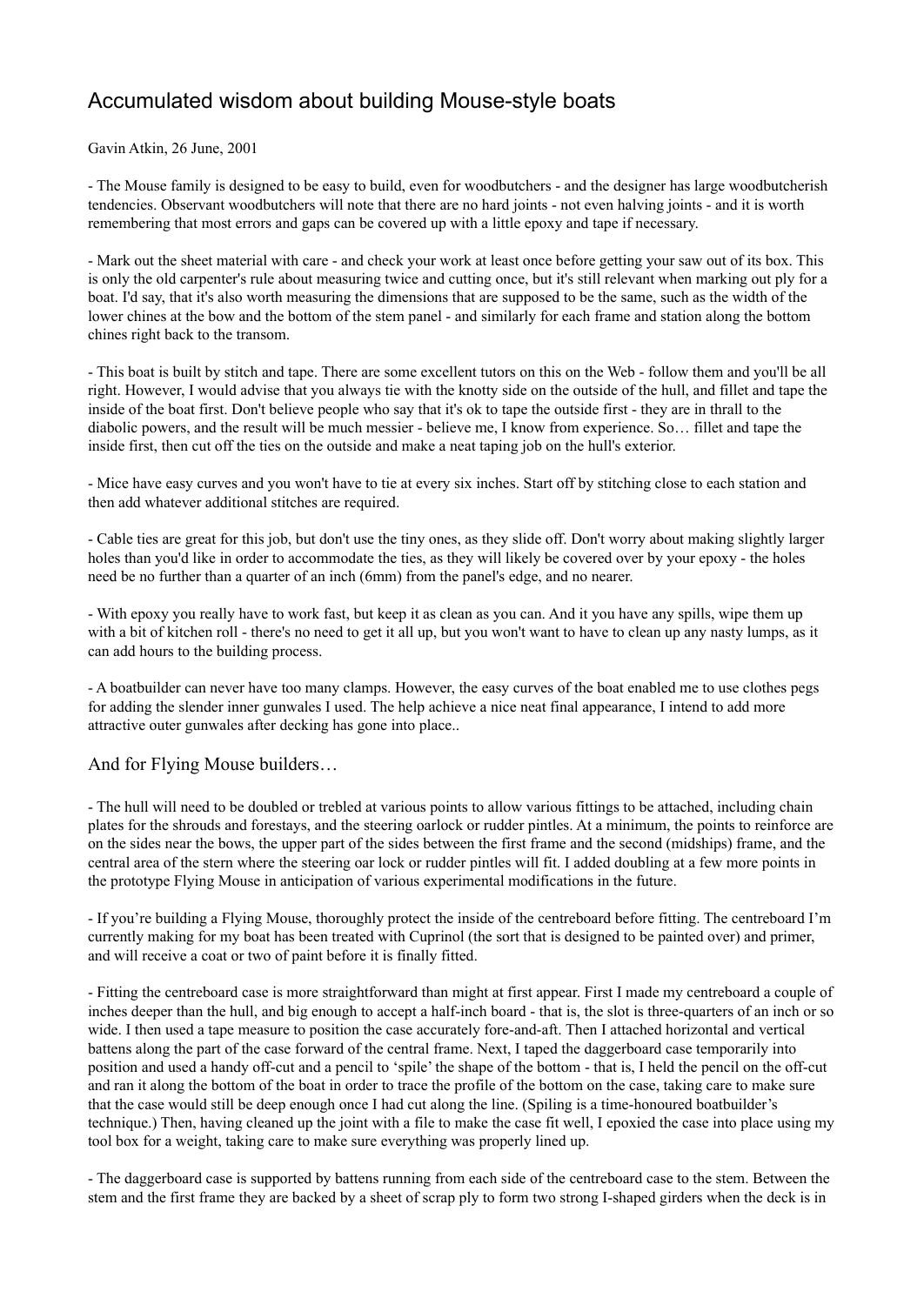## Accumulated wisdom about building Mouse-style boats

Gavin Atkin, 26 June, 2001

- The Mouse family is designed to be easy to build, even for woodbutchers - and the designer has large woodbutcherish tendencies. Observant woodbutchers will note that there are no hard joints - not even halving joints - and it is worth remembering that most errors and gaps can be covered up with a little epoxy and tape if necessary.

- Mark out the sheet material with care - and check your work at least once before getting your saw out of its box. This is only the old carpenter's rule about measuring twice and cutting once, but it's still relevant when marking out ply for a boat. I'd say, that it's also worth measuring the dimensions that are supposed to be the same, such as the width of the lower chines at the bow and the bottom of the stem panel - and similarly for each frame and station along the bottom chines right back to the transom.

- This boat is built by stitch and tape. There are some excellent tutors on this on the Web - follow them and you'll be all right. However, I would advise that you always tie with the knotty side on the outside of the hull, and fillet and tape the inside of the boat first. Don't believe people who say that it's ok to tape the outside first - they are in thrall to the diabolic powers, and the result will be much messier - believe me, I know from experience. So… fillet and tape the inside first, then cut off the ties on the outside and make a neat taping job on the hull's exterior.

- Mice have easy curves and you won't have to tie at every six inches. Start off by stitching close to each station and then add whatever additional stitches are required.

- Cable ties are great for this job, but don't use the tiny ones, as they slide off. Don't worry about making slightly larger holes than you'd like in order to accommodate the ties, as they will likely be covered over by your epoxy - the holes need be no further than a quarter of an inch (6mm) from the panel's edge, and no nearer.

- With epoxy you really have to work fast, but keep it as clean as you can. And it you have any spills, wipe them up with a bit of kitchen roll - there's no need to get it all up, but you won't want to have to clean up any nasty lumps, as it can add hours to the building process.

- A boatbuilder can never have too many clamps. However, the easy curves of the boat enabled me to use clothes pegs for adding the slender inner gunwales I used. The help achieve a nice neat final appearance, I intend to add more attractive outer gunwales after decking has gone into place..

And for Flying Mouse builders…

- The hull will need to be doubled or trebled at various points to allow various fittings to be attached, including chain plates for the shrouds and forestays, and the steering oarlock or rudder pintles. At a minimum, the points to reinforce are on the sides near the bows, the upper part of the sides between the first frame and the second (midships) frame, and the central area of the stern where the steering oar lock or rudder pintles will fit. I added doubling at a few more points in the prototype Flying Mouse in anticipation of various experimental modifications in the future.

- If you're building a Flying Mouse, thoroughly protect the inside of the centreboard before fitting. The centreboard I'm currently making for my boat has been treated with Cuprinol (the sort that is designed to be painted over) and primer, and will receive a coat or two of paint before it is finally fitted.

- Fitting the centreboard case is more straightforward than might at first appear. First I made my centreboard a couple of inches deeper than the hull, and big enough to accept a half-inch board - that is, the slot is three-quarters of an inch or so wide. I then used a tape measure to position the case accurately fore-and-aft. Then I attached horizontal and vertical battens along the part of the case forward of the central frame. Next, I taped the daggerboard case temporarily into position and used a handy off-cut and a pencil to 'spile' the shape of the bottom - that is, I held the pencil on the off-cut and ran it along the bottom of the boat in order to trace the profile of the bottom on the case, taking care to make sure that the case would still be deep enough once I had cut along the line. (Spiling is a time-honoured boatbuilder's technique.) Then, having cleaned up the joint with a file to make the case fit well, I epoxied the case into place using my tool box for a weight, taking care to make sure everything was properly lined up.

- The daggerboard case is supported by battens running from each side of the centreboard case to the stem. Between the stem and the first frame they are backed by a sheet of scrap ply to form two strong I-shaped girders when the deck is in